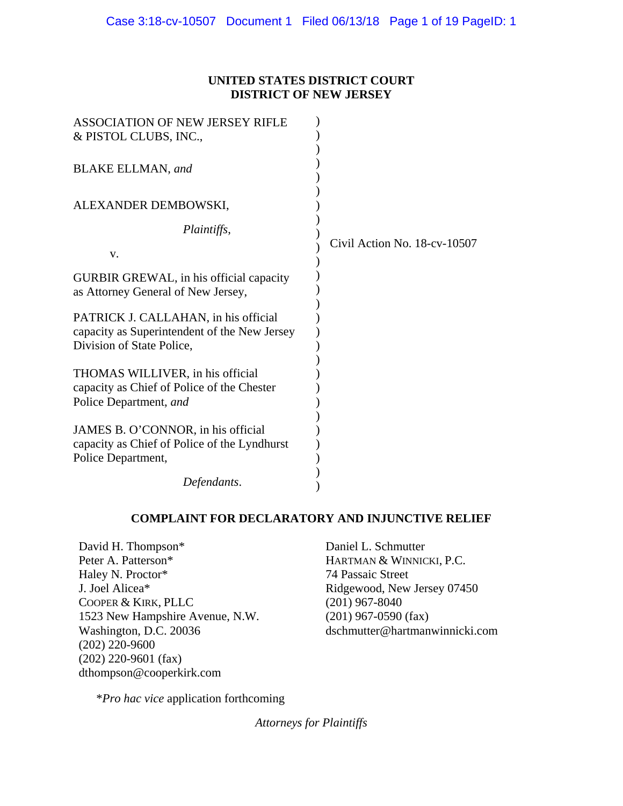## **UNITED STATES DISTRICT COURT DISTRICT OF NEW JERSEY**

| <b>ASSOCIATION OF NEW JERSEY RIFLE</b>                                                                            |                              |
|-------------------------------------------------------------------------------------------------------------------|------------------------------|
| & PISTOL CLUBS, INC.,                                                                                             |                              |
| <b>BLAKE ELLMAN</b> , and                                                                                         |                              |
| ALEXANDER DEMBOWSKI,                                                                                              |                              |
| Plaintiffs,                                                                                                       |                              |
| V.                                                                                                                | Civil Action No. 18-cv-10507 |
| GURBIR GREWAL, in his official capacity<br>as Attorney General of New Jersey,                                     |                              |
| PATRICK J. CALLAHAN, in his official<br>capacity as Superintendent of the New Jersey<br>Division of State Police, |                              |
| THOMAS WILLIVER, in his official<br>capacity as Chief of Police of the Chester<br>Police Department, and          |                              |
| JAMES B. O'CONNOR, in his official<br>capacity as Chief of Police of the Lyndhurst<br>Police Department,          |                              |
| Defendants.                                                                                                       |                              |

## **COMPLAINT FOR DECLARATORY AND INJUNCTIVE RELIEF**

David H. Thompson\* Peter A. Patterson\* Haley N. Proctor\* J. Joel Alicea\* COOPER & KIRK, PLLC 1523 New Hampshire Avenue, N.W. Washington, D.C. 20036 (202) 220-9600 (202) 220-9601 (fax) dthompson@cooperkirk.com

Daniel L. Schmutter HARTMAN & WINNICKI, P.C. 74 Passaic Street Ridgewood, New Jersey 07450 (201) 967-8040 (201) 967-0590 (fax) dschmutter@hartmanwinnicki.com

\**Pro hac vice* application forthcoming

*Attorneys for Plaintiffs*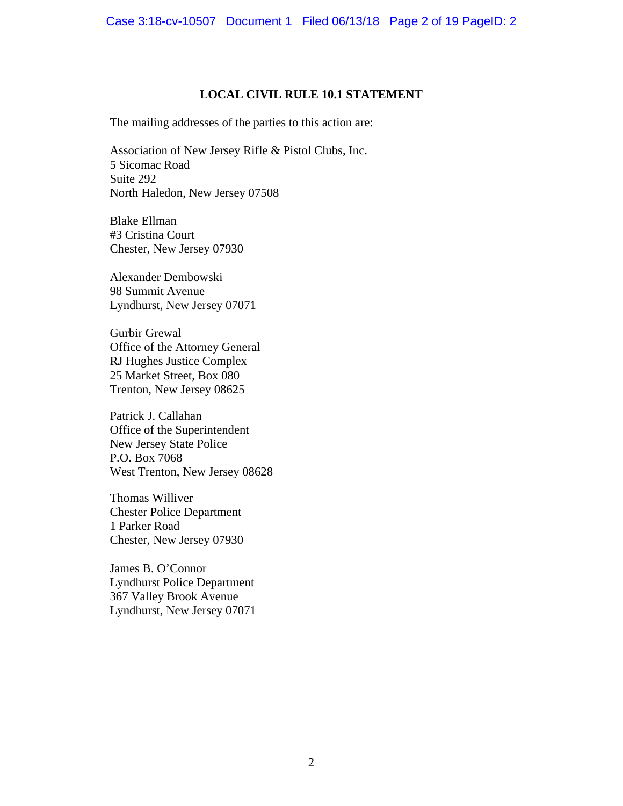### **LOCAL CIVIL RULE 10.1 STATEMENT**

The mailing addresses of the parties to this action are:

Association of New Jersey Rifle & Pistol Clubs, Inc. 5 Sicomac Road Suite 292 North Haledon, New Jersey 07508

Blake Ellman #3 Cristina Court Chester, New Jersey 07930

Alexander Dembowski 98 Summit Avenue Lyndhurst, New Jersey 07071

Gurbir Grewal Office of the Attorney General RJ Hughes Justice Complex 25 Market Street, Box 080 Trenton, New Jersey 08625

Patrick J. Callahan Office of the Superintendent New Jersey State Police P.O. Box 7068 West Trenton, New Jersey 08628

Thomas Williver Chester Police Department 1 Parker Road Chester, New Jersey 07930

James B. O'Connor Lyndhurst Police Department 367 Valley Brook Avenue Lyndhurst, New Jersey 07071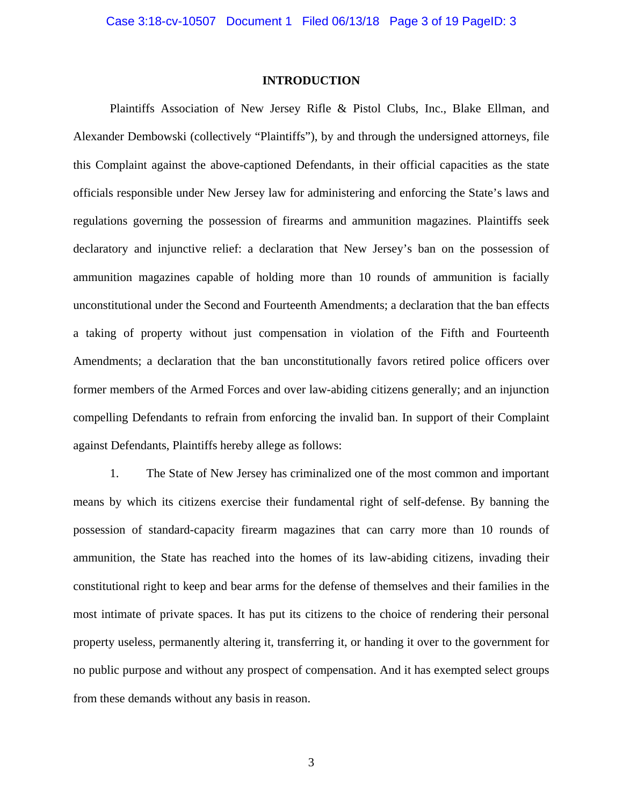#### **INTRODUCTION**

Plaintiffs Association of New Jersey Rifle & Pistol Clubs, Inc., Blake Ellman, and Alexander Dembowski (collectively "Plaintiffs"), by and through the undersigned attorneys, file this Complaint against the above-captioned Defendants, in their official capacities as the state officials responsible under New Jersey law for administering and enforcing the State's laws and regulations governing the possession of firearms and ammunition magazines. Plaintiffs seek declaratory and injunctive relief: a declaration that New Jersey's ban on the possession of ammunition magazines capable of holding more than 10 rounds of ammunition is facially unconstitutional under the Second and Fourteenth Amendments; a declaration that the ban effects a taking of property without just compensation in violation of the Fifth and Fourteenth Amendments; a declaration that the ban unconstitutionally favors retired police officers over former members of the Armed Forces and over law-abiding citizens generally; and an injunction compelling Defendants to refrain from enforcing the invalid ban. In support of their Complaint against Defendants, Plaintiffs hereby allege as follows:

1. The State of New Jersey has criminalized one of the most common and important means by which its citizens exercise their fundamental right of self-defense. By banning the possession of standard-capacity firearm magazines that can carry more than 10 rounds of ammunition, the State has reached into the homes of its law-abiding citizens, invading their constitutional right to keep and bear arms for the defense of themselves and their families in the most intimate of private spaces. It has put its citizens to the choice of rendering their personal property useless, permanently altering it, transferring it, or handing it over to the government for no public purpose and without any prospect of compensation. And it has exempted select groups from these demands without any basis in reason.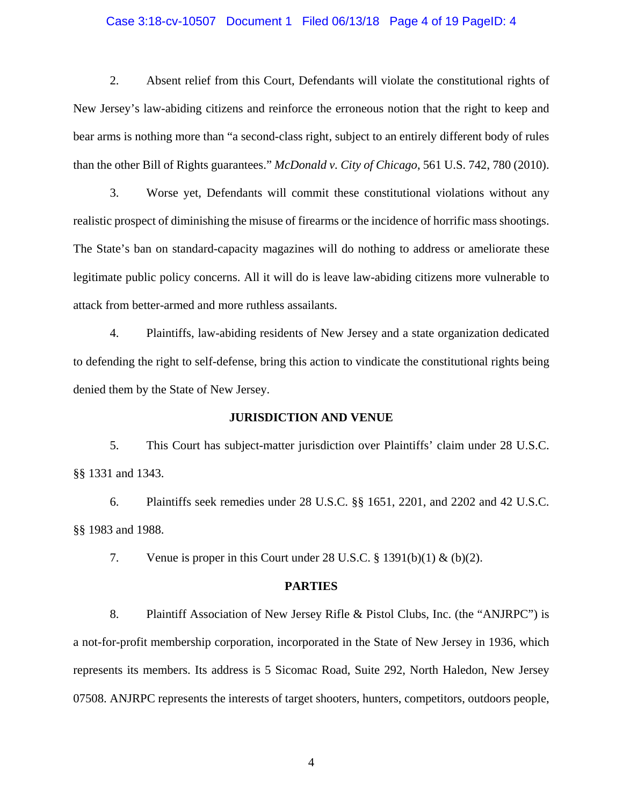### Case 3:18-cv-10507 Document 1 Filed 06/13/18 Page 4 of 19 PageID: 4

2. Absent relief from this Court, Defendants will violate the constitutional rights of New Jersey's law-abiding citizens and reinforce the erroneous notion that the right to keep and bear arms is nothing more than "a second-class right, subject to an entirely different body of rules than the other Bill of Rights guarantees." *McDonald v. City of Chicago*, 561 U.S. 742, 780 (2010).

3. Worse yet, Defendants will commit these constitutional violations without any realistic prospect of diminishing the misuse of firearms or the incidence of horrific mass shootings. The State's ban on standard-capacity magazines will do nothing to address or ameliorate these legitimate public policy concerns. All it will do is leave law-abiding citizens more vulnerable to attack from better-armed and more ruthless assailants.

4. Plaintiffs, law-abiding residents of New Jersey and a state organization dedicated to defending the right to self-defense, bring this action to vindicate the constitutional rights being denied them by the State of New Jersey.

#### **JURISDICTION AND VENUE**

5. This Court has subject-matter jurisdiction over Plaintiffs' claim under 28 U.S.C. §§ 1331 and 1343.

6. Plaintiffs seek remedies under 28 U.S.C. §§ 1651, 2201, and 2202 and 42 U.S.C. §§ 1983 and 1988.

7. Venue is proper in this Court under 28 U.S.C.  $\S 1391(b)(1) \& (b)(2)$ .

#### **PARTIES**

8. Plaintiff Association of New Jersey Rifle & Pistol Clubs, Inc. (the "ANJRPC") is a not-for-profit membership corporation, incorporated in the State of New Jersey in 1936, which represents its members. Its address is 5 Sicomac Road, Suite 292, North Haledon, New Jersey 07508. ANJRPC represents the interests of target shooters, hunters, competitors, outdoors people,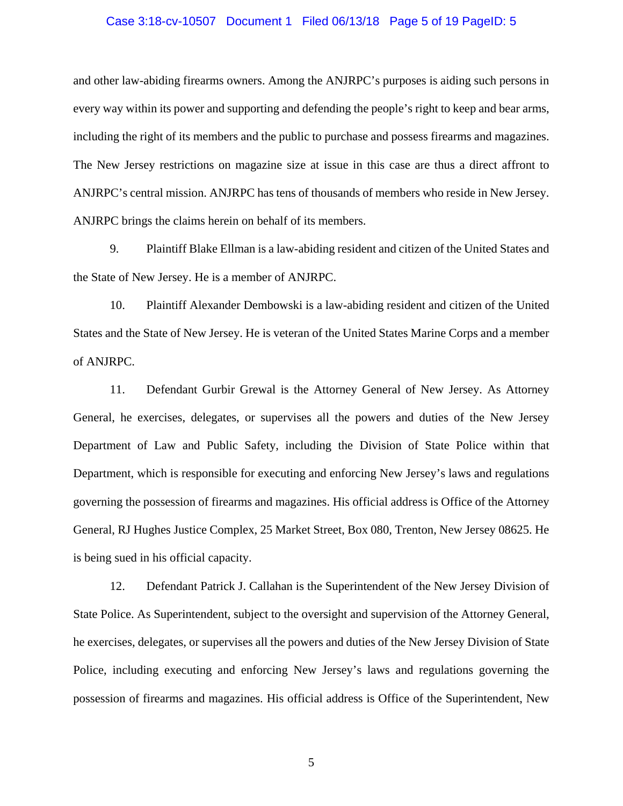### Case 3:18-cv-10507 Document 1 Filed 06/13/18 Page 5 of 19 PageID: 5

and other law-abiding firearms owners. Among the ANJRPC's purposes is aiding such persons in every way within its power and supporting and defending the people's right to keep and bear arms, including the right of its members and the public to purchase and possess firearms and magazines. The New Jersey restrictions on magazine size at issue in this case are thus a direct affront to ANJRPC's central mission. ANJRPC has tens of thousands of members who reside in New Jersey. ANJRPC brings the claims herein on behalf of its members.

9. Plaintiff Blake Ellman is a law-abiding resident and citizen of the United States and the State of New Jersey. He is a member of ANJRPC.

10. Plaintiff Alexander Dembowski is a law-abiding resident and citizen of the United States and the State of New Jersey. He is veteran of the United States Marine Corps and a member of ANJRPC.

11. Defendant Gurbir Grewal is the Attorney General of New Jersey. As Attorney General, he exercises, delegates, or supervises all the powers and duties of the New Jersey Department of Law and Public Safety, including the Division of State Police within that Department, which is responsible for executing and enforcing New Jersey's laws and regulations governing the possession of firearms and magazines. His official address is Office of the Attorney General, RJ Hughes Justice Complex, 25 Market Street, Box 080, Trenton, New Jersey 08625. He is being sued in his official capacity.

12. Defendant Patrick J. Callahan is the Superintendent of the New Jersey Division of State Police. As Superintendent, subject to the oversight and supervision of the Attorney General, he exercises, delegates, or supervises all the powers and duties of the New Jersey Division of State Police, including executing and enforcing New Jersey's laws and regulations governing the possession of firearms and magazines. His official address is Office of the Superintendent, New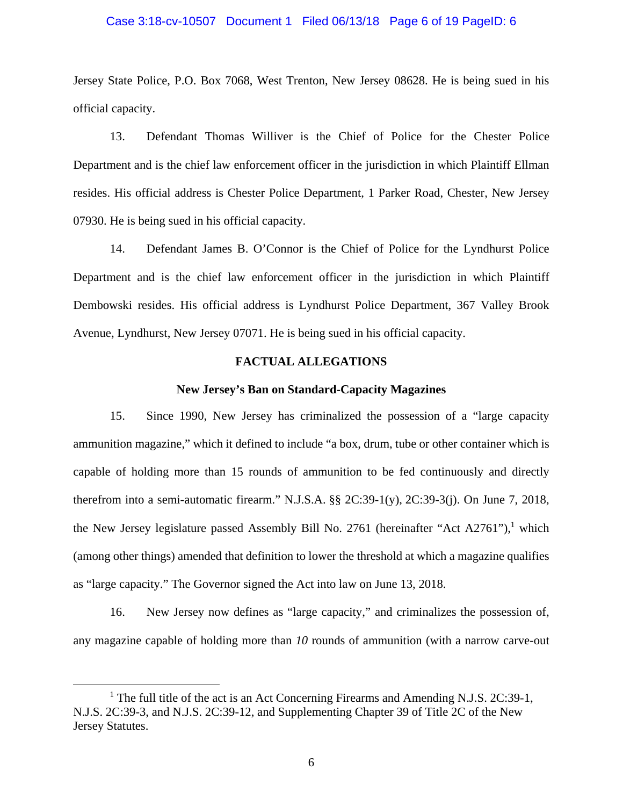### Case 3:18-cv-10507 Document 1 Filed 06/13/18 Page 6 of 19 PageID: 6

Jersey State Police, P.O. Box 7068, West Trenton, New Jersey 08628. He is being sued in his official capacity.

13. Defendant Thomas Williver is the Chief of Police for the Chester Police Department and is the chief law enforcement officer in the jurisdiction in which Plaintiff Ellman resides. His official address is Chester Police Department, 1 Parker Road, Chester, New Jersey 07930. He is being sued in his official capacity.

14. Defendant James B. O'Connor is the Chief of Police for the Lyndhurst Police Department and is the chief law enforcement officer in the jurisdiction in which Plaintiff Dembowski resides. His official address is Lyndhurst Police Department, 367 Valley Brook Avenue, Lyndhurst, New Jersey 07071. He is being sued in his official capacity.

### **FACTUAL ALLEGATIONS**

#### **New Jersey's Ban on Standard-Capacity Magazines**

15. Since 1990, New Jersey has criminalized the possession of a "large capacity ammunition magazine," which it defined to include "a box, drum, tube or other container which is capable of holding more than 15 rounds of ammunition to be fed continuously and directly therefrom into a semi-automatic firearm." N.J.S.A. §§ 2C:39-1(y), 2C:39-3(j). On June 7, 2018, the New Jersey legislature passed Assembly Bill No. 2761 (hereinafter "Act A2761"),<sup>1</sup> which (among other things) amended that definition to lower the threshold at which a magazine qualifies as "large capacity." The Governor signed the Act into law on June 13, 2018.

16. New Jersey now defines as "large capacity," and criminalizes the possession of, any magazine capable of holding more than *10* rounds of ammunition (with a narrow carve-out

 $\frac{1}{1}$ <sup>1</sup> The full title of the act is an Act Concerning Firearms and Amending N.J.S. 2C:39-1, N.J.S. 2C:39-3, and N.J.S. 2C:39-12, and Supplementing Chapter 39 of Title 2C of the New Jersey Statutes.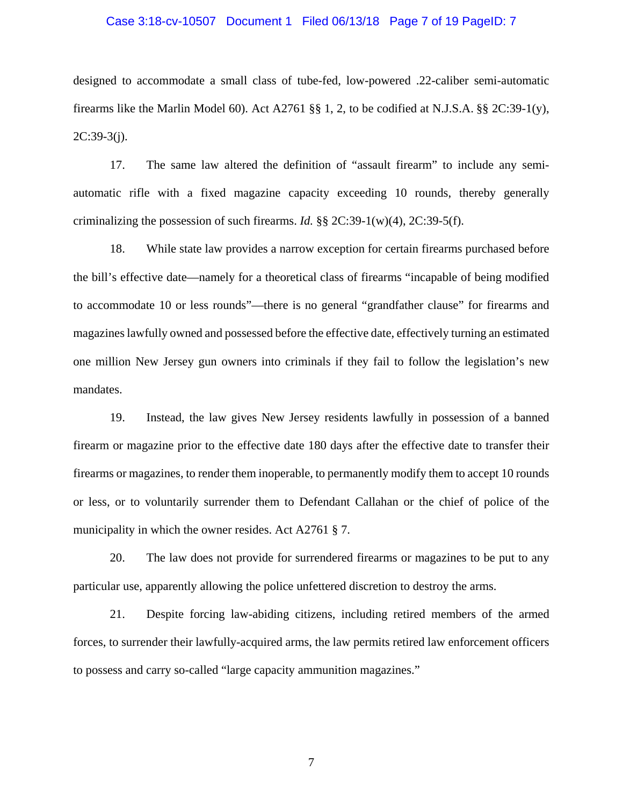### Case 3:18-cv-10507 Document 1 Filed 06/13/18 Page 7 of 19 PageID: 7

designed to accommodate a small class of tube-fed, low-powered .22-caliber semi-automatic firearms like the Marlin Model 60). Act A2761 §§ 1, 2, to be codified at N.J.S.A. §§ 2C:39-1(y),  $2C:39-3(j)$ .

17. The same law altered the definition of "assault firearm" to include any semiautomatic rifle with a fixed magazine capacity exceeding 10 rounds, thereby generally criminalizing the possession of such firearms. *Id.* §§ 2C:39-1(w)(4), 2C:39-5(f).

18. While state law provides a narrow exception for certain firearms purchased before the bill's effective date—namely for a theoretical class of firearms "incapable of being modified to accommodate 10 or less rounds"—there is no general "grandfather clause" for firearms and magazines lawfully owned and possessed before the effective date, effectively turning an estimated one million New Jersey gun owners into criminals if they fail to follow the legislation's new mandates.

19. Instead, the law gives New Jersey residents lawfully in possession of a banned firearm or magazine prior to the effective date 180 days after the effective date to transfer their firearms or magazines, to render them inoperable, to permanently modify them to accept 10 rounds or less, or to voluntarily surrender them to Defendant Callahan or the chief of police of the municipality in which the owner resides. Act A2761 § 7.

20. The law does not provide for surrendered firearms or magazines to be put to any particular use, apparently allowing the police unfettered discretion to destroy the arms.

21. Despite forcing law-abiding citizens, including retired members of the armed forces, to surrender their lawfully-acquired arms, the law permits retired law enforcement officers to possess and carry so-called "large capacity ammunition magazines."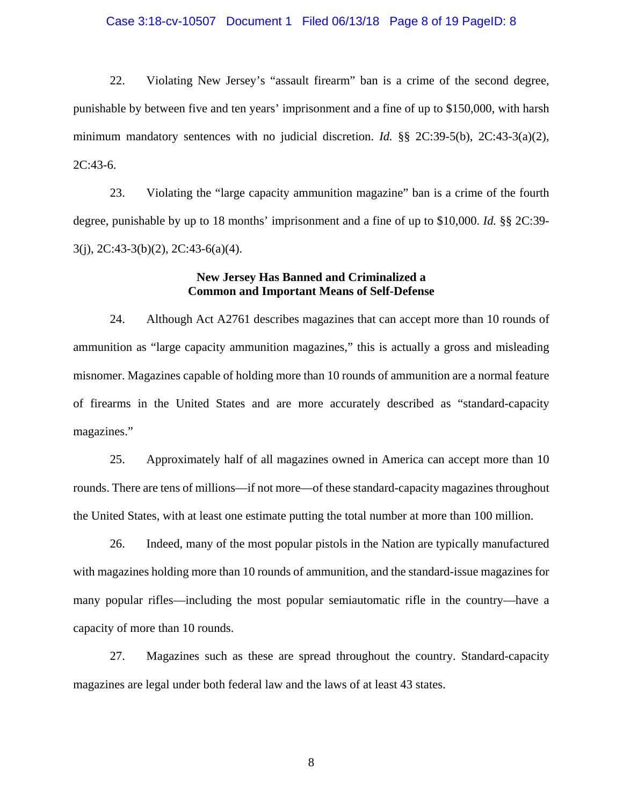### Case 3:18-cv-10507 Document 1 Filed 06/13/18 Page 8 of 19 PageID: 8

22. Violating New Jersey's "assault firearm" ban is a crime of the second degree, punishable by between five and ten years' imprisonment and a fine of up to \$150,000, with harsh minimum mandatory sentences with no judicial discretion. *Id.* §§ 2C:39-5(b), 2C:43-3(a)(2), 2C:43-6.

23. Violating the "large capacity ammunition magazine" ban is a crime of the fourth degree, punishable by up to 18 months' imprisonment and a fine of up to \$10,000. *Id.* §§ 2C:39- 3(j), 2C:43-3(b)(2), 2C:43-6(a)(4).

## **New Jersey Has Banned and Criminalized a Common and Important Means of Self-Defense**

24. Although Act A2761 describes magazines that can accept more than 10 rounds of ammunition as "large capacity ammunition magazines," this is actually a gross and misleading misnomer. Magazines capable of holding more than 10 rounds of ammunition are a normal feature of firearms in the United States and are more accurately described as "standard-capacity magazines."

25. Approximately half of all magazines owned in America can accept more than 10 rounds. There are tens of millions—if not more—of these standard-capacity magazines throughout the United States, with at least one estimate putting the total number at more than 100 million.

26. Indeed, many of the most popular pistols in the Nation are typically manufactured with magazines holding more than 10 rounds of ammunition, and the standard-issue magazines for many popular rifles—including the most popular semiautomatic rifle in the country—have a capacity of more than 10 rounds.

27. Magazines such as these are spread throughout the country. Standard-capacity magazines are legal under both federal law and the laws of at least 43 states.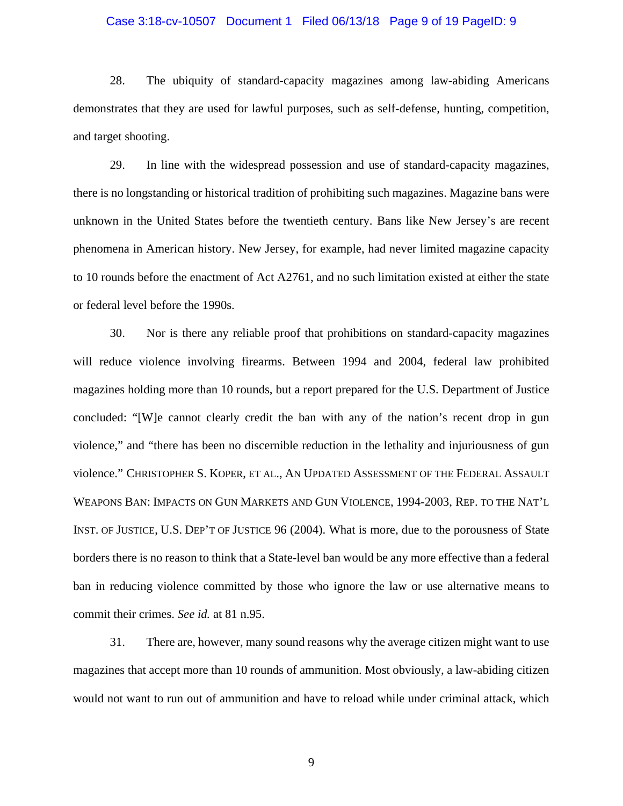#### Case 3:18-cv-10507 Document 1 Filed 06/13/18 Page 9 of 19 PageID: 9

28. The ubiquity of standard-capacity magazines among law-abiding Americans demonstrates that they are used for lawful purposes, such as self-defense, hunting, competition, and target shooting.

29. In line with the widespread possession and use of standard-capacity magazines, there is no longstanding or historical tradition of prohibiting such magazines. Magazine bans were unknown in the United States before the twentieth century. Bans like New Jersey's are recent phenomena in American history. New Jersey, for example, had never limited magazine capacity to 10 rounds before the enactment of Act A2761, and no such limitation existed at either the state or federal level before the 1990s.

30. Nor is there any reliable proof that prohibitions on standard-capacity magazines will reduce violence involving firearms. Between 1994 and 2004, federal law prohibited magazines holding more than 10 rounds, but a report prepared for the U.S. Department of Justice concluded: "[W]e cannot clearly credit the ban with any of the nation's recent drop in gun violence," and "there has been no discernible reduction in the lethality and injuriousness of gun violence." CHRISTOPHER S. KOPER, ET AL., AN UPDATED ASSESSMENT OF THE FEDERAL ASSAULT WEAPONS BAN: IMPACTS ON GUN MARKETS AND GUN VIOLENCE, 1994-2003, REP. TO THE NAT'L INST. OF JUSTICE, U.S. DEP'T OF JUSTICE 96 (2004). What is more, due to the porousness of State borders there is no reason to think that a State-level ban would be any more effective than a federal ban in reducing violence committed by those who ignore the law or use alternative means to commit their crimes. *See id.* at 81 n.95.

31. There are, however, many sound reasons why the average citizen might want to use magazines that accept more than 10 rounds of ammunition. Most obviously, a law-abiding citizen would not want to run out of ammunition and have to reload while under criminal attack, which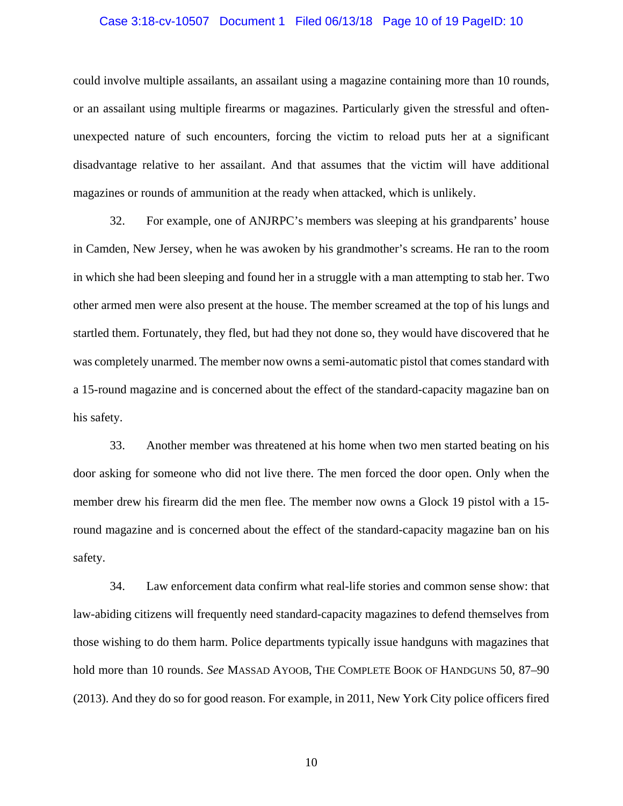### Case 3:18-cv-10507 Document 1 Filed 06/13/18 Page 10 of 19 PageID: 10

could involve multiple assailants, an assailant using a magazine containing more than 10 rounds, or an assailant using multiple firearms or magazines. Particularly given the stressful and oftenunexpected nature of such encounters, forcing the victim to reload puts her at a significant disadvantage relative to her assailant. And that assumes that the victim will have additional magazines or rounds of ammunition at the ready when attacked, which is unlikely.

32. For example, one of ANJRPC's members was sleeping at his grandparents' house in Camden, New Jersey, when he was awoken by his grandmother's screams. He ran to the room in which she had been sleeping and found her in a struggle with a man attempting to stab her. Two other armed men were also present at the house. The member screamed at the top of his lungs and startled them. Fortunately, they fled, but had they not done so, they would have discovered that he was completely unarmed. The member now owns a semi-automatic pistol that comes standard with a 15-round magazine and is concerned about the effect of the standard-capacity magazine ban on his safety.

33. Another member was threatened at his home when two men started beating on his door asking for someone who did not live there. The men forced the door open. Only when the member drew his firearm did the men flee. The member now owns a Glock 19 pistol with a 15 round magazine and is concerned about the effect of the standard-capacity magazine ban on his safety.

34. Law enforcement data confirm what real-life stories and common sense show: that law-abiding citizens will frequently need standard-capacity magazines to defend themselves from those wishing to do them harm. Police departments typically issue handguns with magazines that hold more than 10 rounds. *See* MASSAD AYOOB, THE COMPLETE BOOK OF HANDGUNS 50, 87–90 (2013). And they do so for good reason. For example, in 2011, New York City police officers fired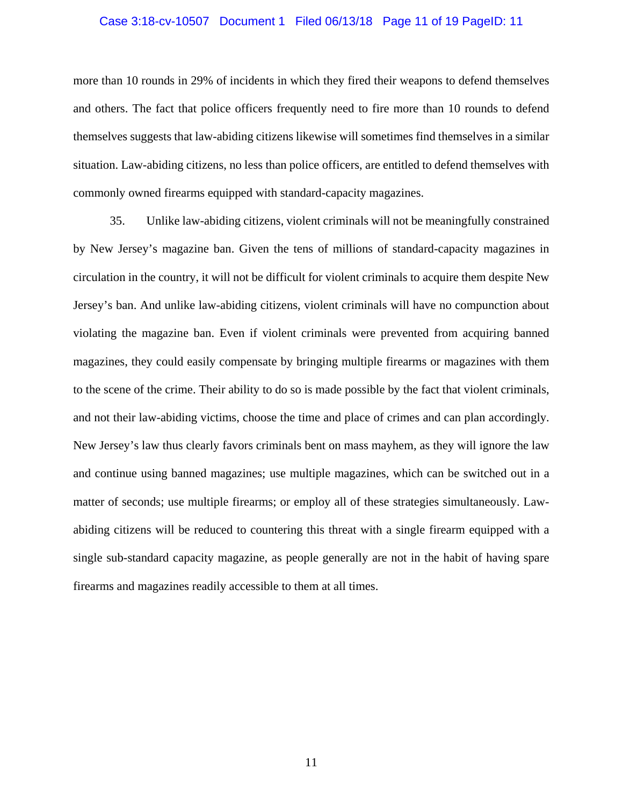### Case 3:18-cv-10507 Document 1 Filed 06/13/18 Page 11 of 19 PageID: 11

more than 10 rounds in 29% of incidents in which they fired their weapons to defend themselves and others. The fact that police officers frequently need to fire more than 10 rounds to defend themselves suggests that law-abiding citizens likewise will sometimes find themselves in a similar situation. Law-abiding citizens, no less than police officers, are entitled to defend themselves with commonly owned firearms equipped with standard-capacity magazines.

35. Unlike law-abiding citizens, violent criminals will not be meaningfully constrained by New Jersey's magazine ban. Given the tens of millions of standard-capacity magazines in circulation in the country, it will not be difficult for violent criminals to acquire them despite New Jersey's ban. And unlike law-abiding citizens, violent criminals will have no compunction about violating the magazine ban. Even if violent criminals were prevented from acquiring banned magazines, they could easily compensate by bringing multiple firearms or magazines with them to the scene of the crime. Their ability to do so is made possible by the fact that violent criminals, and not their law-abiding victims, choose the time and place of crimes and can plan accordingly. New Jersey's law thus clearly favors criminals bent on mass mayhem, as they will ignore the law and continue using banned magazines; use multiple magazines, which can be switched out in a matter of seconds; use multiple firearms; or employ all of these strategies simultaneously. Lawabiding citizens will be reduced to countering this threat with a single firearm equipped with a single sub-standard capacity magazine, as people generally are not in the habit of having spare firearms and magazines readily accessible to them at all times.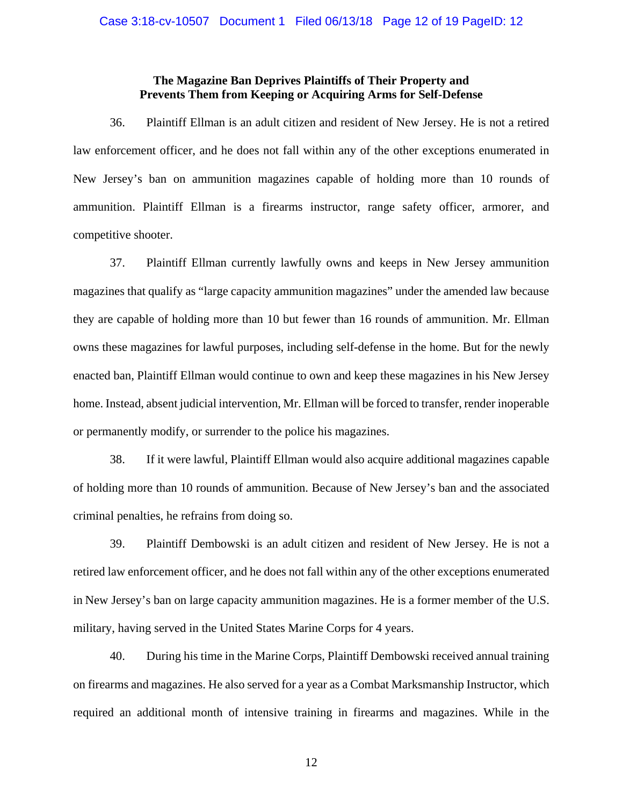## **The Magazine Ban Deprives Plaintiffs of Their Property and Prevents Them from Keeping or Acquiring Arms for Self-Defense**

36. Plaintiff Ellman is an adult citizen and resident of New Jersey. He is not a retired law enforcement officer, and he does not fall within any of the other exceptions enumerated in New Jersey's ban on ammunition magazines capable of holding more than 10 rounds of ammunition. Plaintiff Ellman is a firearms instructor, range safety officer, armorer, and competitive shooter.

37. Plaintiff Ellman currently lawfully owns and keeps in New Jersey ammunition magazines that qualify as "large capacity ammunition magazines" under the amended law because they are capable of holding more than 10 but fewer than 16 rounds of ammunition. Mr. Ellman owns these magazines for lawful purposes, including self-defense in the home. But for the newly enacted ban, Plaintiff Ellman would continue to own and keep these magazines in his New Jersey home. Instead, absent judicial intervention, Mr. Ellman will be forced to transfer, render inoperable or permanently modify, or surrender to the police his magazines.

38. If it were lawful, Plaintiff Ellman would also acquire additional magazines capable of holding more than 10 rounds of ammunition. Because of New Jersey's ban and the associated criminal penalties, he refrains from doing so.

39. Plaintiff Dembowski is an adult citizen and resident of New Jersey. He is not a retired law enforcement officer, and he does not fall within any of the other exceptions enumerated in New Jersey's ban on large capacity ammunition magazines. He is a former member of the U.S. military, having served in the United States Marine Corps for 4 years.

40. During his time in the Marine Corps, Plaintiff Dembowski received annual training on firearms and magazines. He also served for a year as a Combat Marksmanship Instructor, which required an additional month of intensive training in firearms and magazines. While in the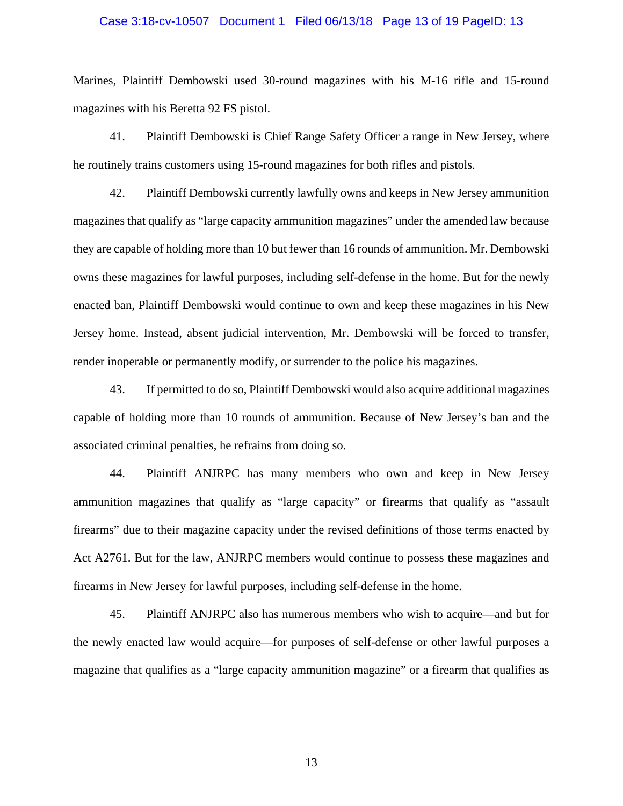### Case 3:18-cv-10507 Document 1 Filed 06/13/18 Page 13 of 19 PageID: 13

Marines, Plaintiff Dembowski used 30-round magazines with his M-16 rifle and 15-round magazines with his Beretta 92 FS pistol.

41. Plaintiff Dembowski is Chief Range Safety Officer a range in New Jersey, where he routinely trains customers using 15-round magazines for both rifles and pistols.

42. Plaintiff Dembowski currently lawfully owns and keeps in New Jersey ammunition magazines that qualify as "large capacity ammunition magazines" under the amended law because they are capable of holding more than 10 but fewer than 16 rounds of ammunition. Mr. Dembowski owns these magazines for lawful purposes, including self-defense in the home. But for the newly enacted ban, Plaintiff Dembowski would continue to own and keep these magazines in his New Jersey home. Instead, absent judicial intervention, Mr. Dembowski will be forced to transfer, render inoperable or permanently modify, or surrender to the police his magazines.

43. If permitted to do so, Plaintiff Dembowski would also acquire additional magazines capable of holding more than 10 rounds of ammunition. Because of New Jersey's ban and the associated criminal penalties, he refrains from doing so.

44. Plaintiff ANJRPC has many members who own and keep in New Jersey ammunition magazines that qualify as "large capacity" or firearms that qualify as "assault firearms" due to their magazine capacity under the revised definitions of those terms enacted by Act A2761. But for the law, ANJRPC members would continue to possess these magazines and firearms in New Jersey for lawful purposes, including self-defense in the home.

45. Plaintiff ANJRPC also has numerous members who wish to acquire—and but for the newly enacted law would acquire—for purposes of self-defense or other lawful purposes a magazine that qualifies as a "large capacity ammunition magazine" or a firearm that qualifies as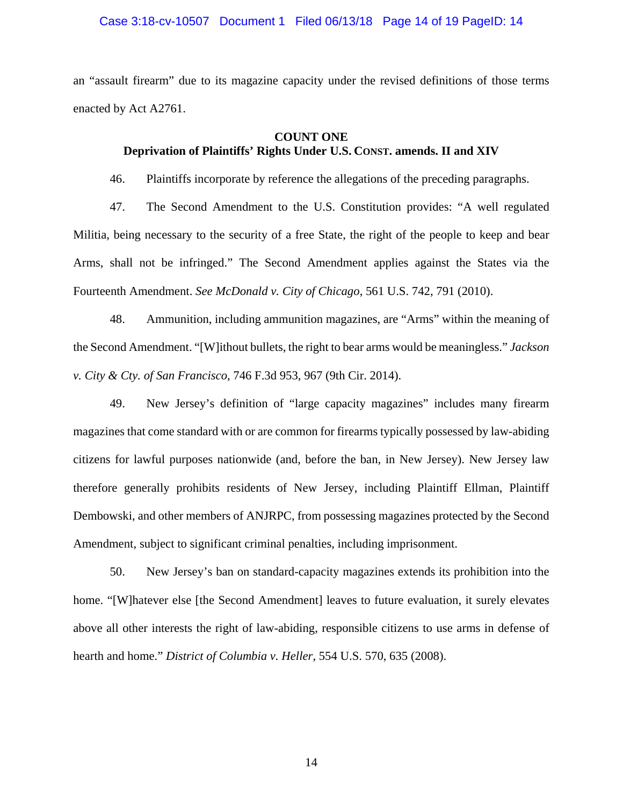### Case 3:18-cv-10507 Document 1 Filed 06/13/18 Page 14 of 19 PageID: 14

an "assault firearm" due to its magazine capacity under the revised definitions of those terms enacted by Act A2761.

### **COUNT ONE**

# **Deprivation of Plaintiffs' Rights Under U.S. CONST. amends. II and XIV**

46. Plaintiffs incorporate by reference the allegations of the preceding paragraphs.

47. The Second Amendment to the U.S. Constitution provides: "A well regulated Militia, being necessary to the security of a free State, the right of the people to keep and bear Arms, shall not be infringed." The Second Amendment applies against the States via the Fourteenth Amendment. *See McDonald v. City of Chicago*, 561 U.S. 742, 791 (2010).

48. Ammunition, including ammunition magazines, are "Arms" within the meaning of the Second Amendment. "[W]ithout bullets, the right to bear arms would be meaningless." *Jackson v. City & Cty. of San Francisco*, 746 F.3d 953, 967 (9th Cir. 2014).

49. New Jersey's definition of "large capacity magazines" includes many firearm magazines that come standard with or are common for firearms typically possessed by law-abiding citizens for lawful purposes nationwide (and, before the ban, in New Jersey). New Jersey law therefore generally prohibits residents of New Jersey, including Plaintiff Ellman, Plaintiff Dembowski, and other members of ANJRPC, from possessing magazines protected by the Second Amendment, subject to significant criminal penalties, including imprisonment.

50. New Jersey's ban on standard-capacity magazines extends its prohibition into the home. "[W]hatever else [the Second Amendment] leaves to future evaluation, it surely elevates above all other interests the right of law-abiding, responsible citizens to use arms in defense of hearth and home." *District of Columbia v. Heller*, 554 U.S. 570, 635 (2008).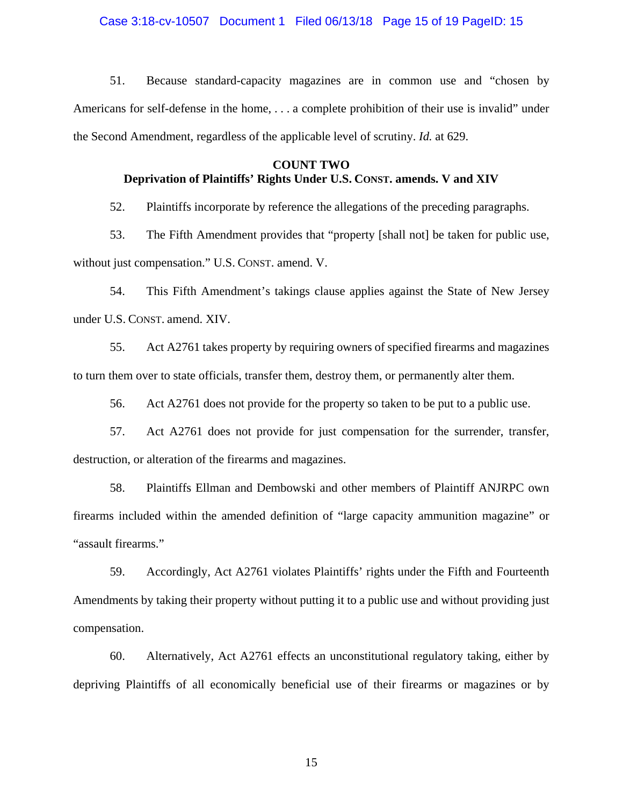### Case 3:18-cv-10507 Document 1 Filed 06/13/18 Page 15 of 19 PageID: 15

51. Because standard-capacity magazines are in common use and "chosen by Americans for self-defense in the home, . . . a complete prohibition of their use is invalid" under the Second Amendment, regardless of the applicable level of scrutiny. *Id.* at 629.

## **COUNT TWO Deprivation of Plaintiffs' Rights Under U.S. CONST. amends. V and XIV**

52. Plaintiffs incorporate by reference the allegations of the preceding paragraphs.

53. The Fifth Amendment provides that "property [shall not] be taken for public use, without just compensation." U.S. CONST. amend. V.

54. This Fifth Amendment's takings clause applies against the State of New Jersey under U.S. CONST. amend. XIV.

55. Act A2761 takes property by requiring owners of specified firearms and magazines to turn them over to state officials, transfer them, destroy them, or permanently alter them.

56. Act A2761 does not provide for the property so taken to be put to a public use.

57. Act A2761 does not provide for just compensation for the surrender, transfer, destruction, or alteration of the firearms and magazines.

58. Plaintiffs Ellman and Dembowski and other members of Plaintiff ANJRPC own firearms included within the amended definition of "large capacity ammunition magazine" or "assault firearms."

59. Accordingly, Act A2761 violates Plaintiffs' rights under the Fifth and Fourteenth Amendments by taking their property without putting it to a public use and without providing just compensation.

60. Alternatively, Act A2761 effects an unconstitutional regulatory taking, either by depriving Plaintiffs of all economically beneficial use of their firearms or magazines or by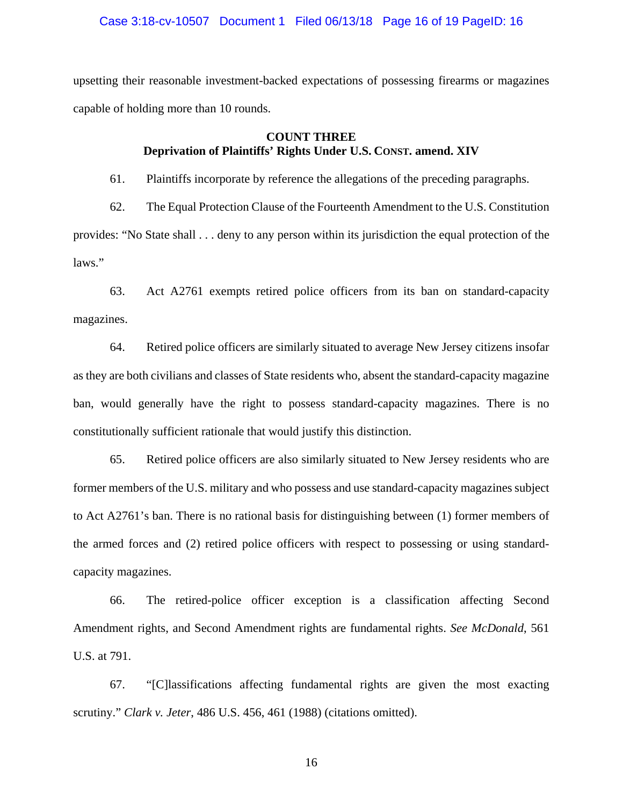### Case 3:18-cv-10507 Document 1 Filed 06/13/18 Page 16 of 19 PageID: 16

upsetting their reasonable investment-backed expectations of possessing firearms or magazines capable of holding more than 10 rounds.

# **COUNT THREE Deprivation of Plaintiffs' Rights Under U.S. CONST. amend. XIV**

61. Plaintiffs incorporate by reference the allegations of the preceding paragraphs.

62. The Equal Protection Clause of the Fourteenth Amendment to the U.S. Constitution provides: "No State shall . . . deny to any person within its jurisdiction the equal protection of the laws."

63. Act A2761 exempts retired police officers from its ban on standard-capacity magazines.

64. Retired police officers are similarly situated to average New Jersey citizens insofar as they are both civilians and classes of State residents who, absent the standard-capacity magazine ban, would generally have the right to possess standard-capacity magazines. There is no constitutionally sufficient rationale that would justify this distinction.

65. Retired police officers are also similarly situated to New Jersey residents who are former members of the U.S. military and who possess and use standard-capacity magazines subject to Act A2761's ban. There is no rational basis for distinguishing between (1) former members of the armed forces and (2) retired police officers with respect to possessing or using standardcapacity magazines.

66. The retired-police officer exception is a classification affecting Second Amendment rights, and Second Amendment rights are fundamental rights. *See McDonald*, 561 U.S. at 791.

67. "[C]lassifications affecting fundamental rights are given the most exacting scrutiny." *Clark v. Jeter*, 486 U.S. 456, 461 (1988) (citations omitted).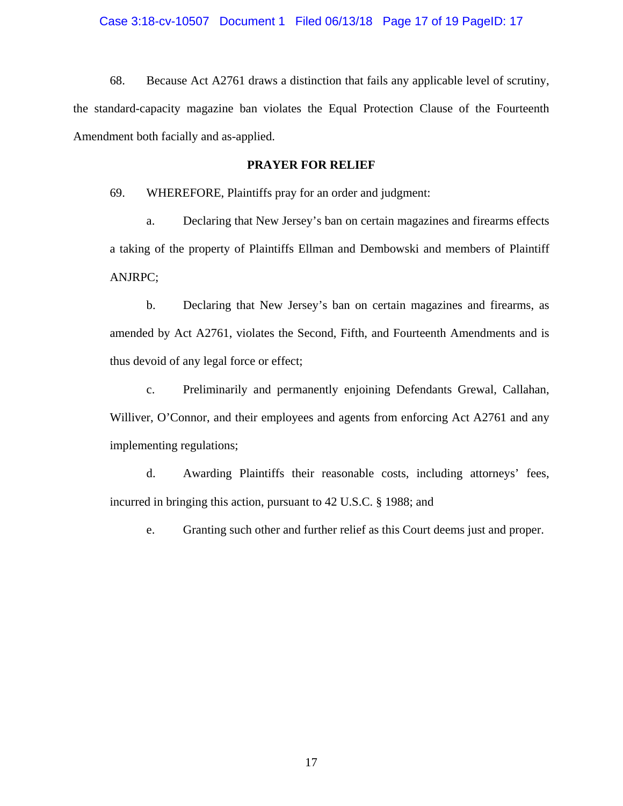### Case 3:18-cv-10507 Document 1 Filed 06/13/18 Page 17 of 19 PageID: 17

68. Because Act A2761 draws a distinction that fails any applicable level of scrutiny, the standard-capacity magazine ban violates the Equal Protection Clause of the Fourteenth Amendment both facially and as-applied.

## **PRAYER FOR RELIEF**

69. WHEREFORE, Plaintiffs pray for an order and judgment:

a. Declaring that New Jersey's ban on certain magazines and firearms effects a taking of the property of Plaintiffs Ellman and Dembowski and members of Plaintiff ANJRPC;

b. Declaring that New Jersey's ban on certain magazines and firearms, as amended by Act A2761, violates the Second, Fifth, and Fourteenth Amendments and is thus devoid of any legal force or effect;

c. Preliminarily and permanently enjoining Defendants Grewal, Callahan, Williver, O'Connor, and their employees and agents from enforcing Act A2761 and any implementing regulations;

d. Awarding Plaintiffs their reasonable costs, including attorneys' fees, incurred in bringing this action, pursuant to 42 U.S.C. § 1988; and

e. Granting such other and further relief as this Court deems just and proper.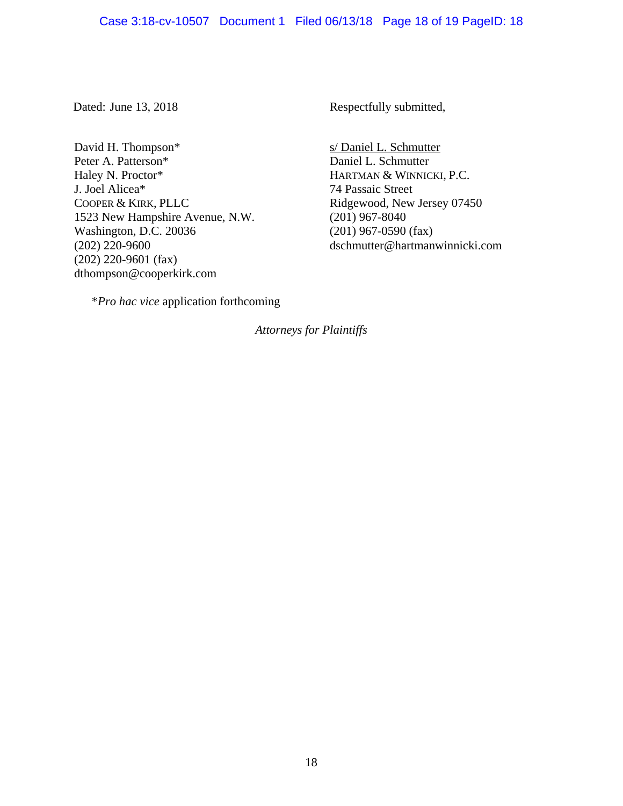### Case 3:18-cv-10507 Document 1 Filed 06/13/18 Page 18 of 19 PageID: 18

David H. Thompson\* Peter A. Patterson\* Haley N. Proctor\* J. Joel Alicea\* COOPER & KIRK, PLLC 1523 New Hampshire Avenue, N.W. Washington, D.C. 20036 (202) 220-9600 (202) 220-9601 (fax) dthompson@cooperkirk.com

Dated: June 13, 2018 Respectfully submitted,

s/ Daniel L. Schmutter Daniel L. Schmutter HARTMAN & WINNICKI, P.C. 74 Passaic Street Ridgewood, New Jersey 07450 (201) 967-8040 (201) 967-0590 (fax) dschmutter@hartmanwinnicki.com

\**Pro hac vice* application forthcoming

*Attorneys for Plaintiffs*